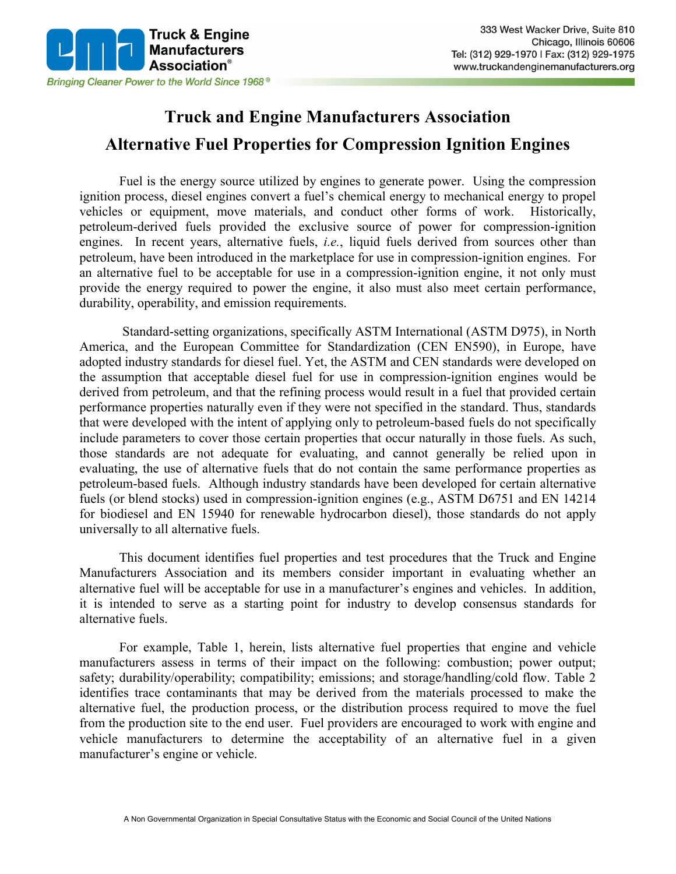

## **Truck and Engine Manufacturers Association Alternative Fuel Properties for Compression Ignition Engines**

Fuel is the energy source utilized by engines to generate power. Using the compression ignition process, diesel engines convert a fuel's chemical energy to mechanical energy to propel vehicles or equipment, move materials, and conduct other forms of work. Historically, petroleum-derived fuels provided the exclusive source of power for compression-ignition engines. In recent years, alternative fuels, *i.e.*, liquid fuels derived from sources other than petroleum, have been introduced in the marketplace for use in compression-ignition engines. For an alternative fuel to be acceptable for use in a compression-ignition engine, it not only must provide the energy required to power the engine, it also must also meet certain performance, durability, operability, and emission requirements.

Standard-setting organizations, specifically ASTM International (ASTM D975), in North America, and the European Committee for Standardization (CEN EN590), in Europe, have adopted industry standards for diesel fuel. Yet, the ASTM and CEN standards were developed on the assumption that acceptable diesel fuel for use in compression-ignition engines would be derived from petroleum, and that the refining process would result in a fuel that provided certain performance properties naturally even if they were not specified in the standard. Thus, standards that were developed with the intent of applying only to petroleum-based fuels do not specifically include parameters to cover those certain properties that occur naturally in those fuels. As such, those standards are not adequate for evaluating, and cannot generally be relied upon in evaluating, the use of alternative fuels that do not contain the same performance properties as petroleum-based fuels. Although industry standards have been developed for certain alternative fuels (or blend stocks) used in compression-ignition engines (e.g., ASTM D6751 and EN 14214 for biodiesel and EN 15940 for renewable hydrocarbon diesel), those standards do not apply universally to all alternative fuels.

This document identifies fuel properties and test procedures that the Truck and Engine Manufacturers Association and its members consider important in evaluating whether an alternative fuel will be acceptable for use in a manufacturer's engines and vehicles. In addition, it is intended to serve as a starting point for industry to develop consensus standards for alternative fuels.

For example, Table 1, herein, lists alternative fuel properties that engine and vehicle manufacturers assess in terms of their impact on the following: combustion; power output; safety; durability/operability; compatibility; emissions; and storage/handling/cold flow. Table 2 identifies trace contaminants that may be derived from the materials processed to make the alternative fuel, the production process, or the distribution process required to move the fuel from the production site to the end user. Fuel providers are encouraged to work with engine and vehicle manufacturers to determine the acceptability of an alternative fuel in a given manufacturer's engine or vehicle.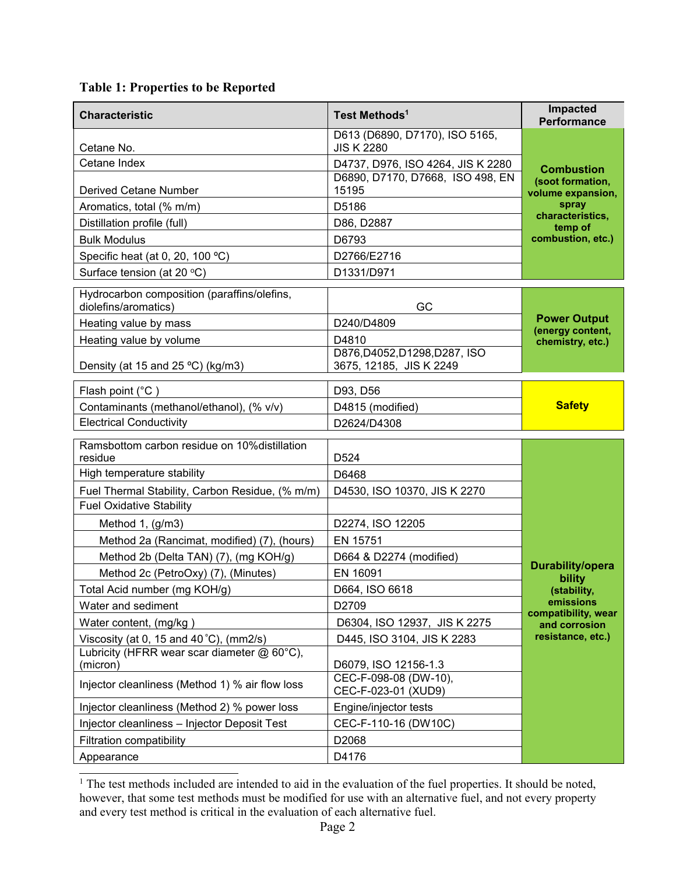## **Table 1: Properties to be Reported**

| <b>Characteristic</b>                                               | Test Methods <sup>1</sup>                                | Impacted<br><b>Performance</b>                             |
|---------------------------------------------------------------------|----------------------------------------------------------|------------------------------------------------------------|
| Cetane No.                                                          | D613 (D6890, D7170), ISO 5165,<br><b>JIS K 2280</b>      | <b>Combustion</b><br>(soot formation,<br>volume expansion, |
| Cetane Index                                                        | D4737, D976, ISO 4264, JIS K 2280                        |                                                            |
| <b>Derived Cetane Number</b>                                        | D6890, D7170, D7668, ISO 498, EN<br>15195                |                                                            |
| Aromatics, total (% m/m)                                            | D5186                                                    | spray                                                      |
| Distillation profile (full)                                         | D86, D2887                                               | characteristics,<br>temp of                                |
| <b>Bulk Modulus</b>                                                 | D6793                                                    | combustion, etc.)                                          |
| Specific heat (at 0, 20, 100 °C)                                    | D2766/E2716                                              |                                                            |
| Surface tension (at 20 °C)                                          | D1331/D971                                               |                                                            |
| Hydrocarbon composition (paraffins/olefins,<br>diolefins/aromatics) | GC                                                       |                                                            |
| Heating value by mass                                               | D240/D4809                                               | <b>Power Output</b><br>(energy content,                    |
| Heating value by volume                                             | D4810                                                    | chemistry, etc.)                                           |
| Density (at 15 and 25 °C) (kg/m3)                                   | D876, D4052, D1298, D287, ISO<br>3675, 12185, JIS K 2249 |                                                            |
| Flash point (°C)                                                    | D93, D56                                                 |                                                            |
| Contaminants (methanol/ethanol), (% v/v)                            | D4815 (modified)                                         | <b>Safety</b>                                              |
| <b>Electrical Conductivity</b>                                      | D2624/D4308                                              |                                                            |
| Ramsbottom carbon residue on 10% distillation<br>residue            | D <sub>524</sub>                                         |                                                            |
| High temperature stability                                          | D6468                                                    |                                                            |
| Fuel Thermal Stability, Carbon Residue, (% m/m)                     | D4530, ISO 10370, JIS K 2270                             |                                                            |
| <b>Fuel Oxidative Stability</b>                                     |                                                          |                                                            |
| Method 1, (g/m3)                                                    | D2274, ISO 12205                                         |                                                            |
| Method 2a (Rancimat, modified) (7), (hours)                         | EN 15751                                                 |                                                            |
| Method 2b (Delta TAN) (7), (mg KOH/g)                               | D664 & D2274 (modified)                                  |                                                            |
| Method 2c (PetroOxy) (7), (Minutes)                                 | EN 16091                                                 | <b>Durability/opera</b><br>bility                          |
| Total Acid number (mg KOH/g)                                        | D664, ISO 6618                                           | (stability,                                                |
| Water and sediment                                                  | D2709                                                    | emissions<br>compatibility, wear                           |
| Water content, (mg/kg)                                              | D6304, ISO 12937, JIS K 2275                             | and corrosion                                              |
| Viscosity (at 0, 15 and 40 $°C$ ), (mm2/s)                          | D445, ISO 3104, JIS K 2283                               | resistance, etc.)                                          |
| Lubricity (HFRR wear scar diameter $@60°C$ ),<br>(micron)           | D6079, ISO 12156-1.3                                     |                                                            |
| Injector cleanliness (Method 1) % air flow loss                     | CEC-F-098-08 (DW-10),<br>CEC-F-023-01 (XUD9)             |                                                            |
| Injector cleanliness (Method 2) % power loss                        | Engine/injector tests                                    |                                                            |
| Injector cleanliness - Injector Deposit Test                        | CEC-F-110-16 (DW10C)                                     |                                                            |
| Filtration compatibility                                            | D2068                                                    |                                                            |
| Appearance                                                          | D4176                                                    |                                                            |

 $\overline{1}$  $<sup>1</sup>$  The test methods included are intended to aid in the evaluation of the fuel properties. It should be noted,</sup> however, that some test methods must be modified for use with an alternative fuel, and not every property and every test method is critical in the evaluation of each alternative fuel.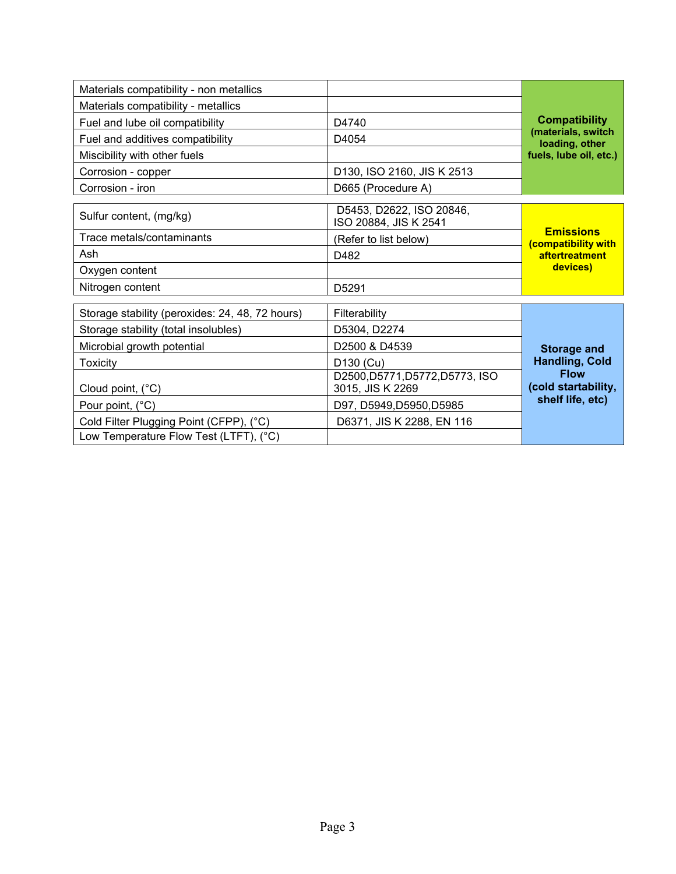| Materials compatibility - non metallics         |                                                     |                                         |
|-------------------------------------------------|-----------------------------------------------------|-----------------------------------------|
| Materials compatibility - metallics             |                                                     |                                         |
| Fuel and lube oil compatibility                 | D4740                                               | <b>Compatibility</b>                    |
| Fuel and additives compatibility                | D4054                                               | (materials, switch<br>loading, other    |
| Miscibility with other fuels                    |                                                     | fuels, lube oil, etc.)                  |
| Corrosion - copper                              | D130, ISO 2160, JIS K 2513                          |                                         |
| Corrosion - iron                                | D665 (Procedure A)                                  |                                         |
| Sulfur content, (mg/kg)                         | D5453, D2622, ISO 20846,<br>ISO 20884, JIS K 2541   |                                         |
| Trace metals/contaminants                       | (Refer to list below)                               | <b>Emissions</b><br>(compatibility with |
| Ash                                             | D482                                                | aftertreatment                          |
| Oxygen content                                  |                                                     | devices)                                |
| Nitrogen content                                | D <sub>5291</sub>                                   |                                         |
| Storage stability (peroxides: 24, 48, 72 hours) | Filterability                                       |                                         |
| Storage stability (total insolubles)            | D5304, D2274                                        |                                         |
| Microbial growth potential                      | D2500 & D4539                                       | <b>Storage and</b>                      |
| <b>Toxicity</b>                                 | D130 (Cu)                                           | <b>Handling, Cold</b>                   |
| Cloud point, (°C)                               | D2500, D5771, D5772, D5773, ISO<br>3015, JIS K 2269 | <b>Flow</b><br>(cold startability,      |
| Pour point, (°C)                                | D97, D5949, D5950, D5985                            | shelf life, etc)                        |
| Cold Filter Plugging Point (CFPP), (°C)         | D6371, JIS K 2288, EN 116                           |                                         |
| Low Temperature Flow Test (LTFT), (°C)          |                                                     |                                         |